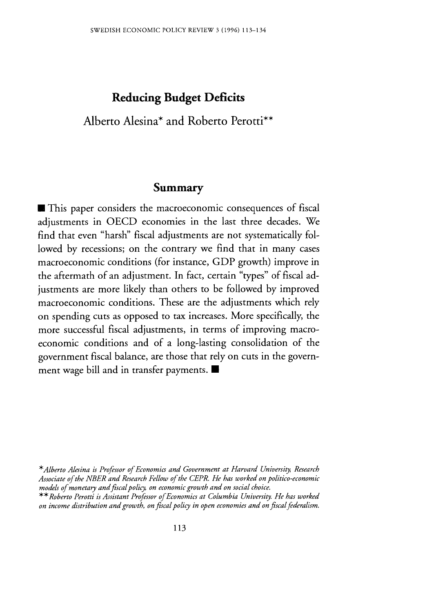### **Reducing Budget Deficits**

*Alberto Alesina\* and Roberto Perotti\*\** 

### **Summary**

**If** This paper considers the macroeconomic consequences of fiscal adjustments in OECD economies in the last three decades. We find that even "harsh" fiscal adjustments are not systematically followed by recessions; on the contrary we find that in many cases macroeconomic conditions (for instance, GDP growth) improve in the aftermath of an adjustment. In fact, certain "types" of fiscal adjustments are more likely than others to be followed by improved macroeconomic conditions. These are the adjustments which rely on spending cuts as opposed to tax increases. More specifically, the more successful fiscal adjustments, in terms of improving macroeconomic conditions and of a long-lasting consolidation of the government fiscal balance, are those that rely on cuts in the governon spending cuts as opposed to tax increases. More<br>more successful fiscal adjustments, in terms of im<br>economic conditions and of a long-lasting conse<br>government fiscal balance, are those that rely on cur<br>ment wage bill and

*<sup>\*~</sup>lberto Alesina is Professor of Economics and Government at Harvard University, Research Associate of the NBER and Research Fellow of the CEPR. He has worked on politico-economic*  models of monetary and fiscal policy, on economic growth and on social choice.

<sup>\*\*</sup> Roberto Perotti is Assistant Professor of Economics at Columbia University. He has worked on income distribution and growth, on fiscal policy in open economies and on fiscal federalism.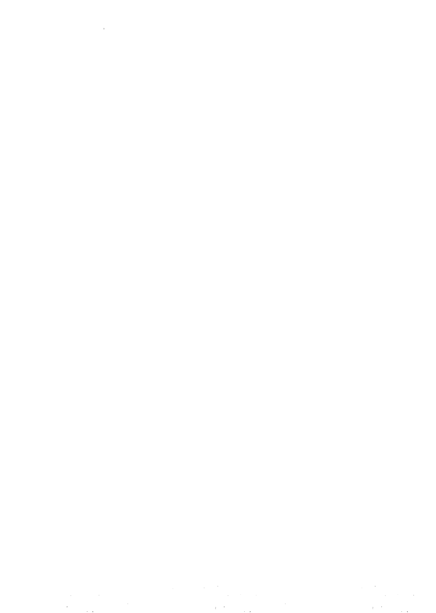$\label{eq:2.1} \begin{split} \mathcal{L}_{\text{max}}(\mathbf{r}) & = \mathcal{L}_{\text{max}}(\mathbf{r}) \mathcal{L}_{\text{max}}(\mathbf{r}) \\ & = \mathcal{L}_{\text{max}}(\mathbf{r}) \mathcal{L}_{\text{max}}(\mathbf{r}) \mathcal{L}_{\text{max}}(\mathbf{r}) \\ & = \mathcal{L}_{\text{max}}(\mathbf{r}) \mathcal{L}_{\text{max}}(\mathbf{r}) \mathcal{L}_{\text{max}}(\mathbf{r}) \mathcal{L}_{\text{max}}(\mathbf{r}) \mathcal{L}_{\text{max}}(\mathbf{r}) \mathcal{L}_{\text{max}}$ 

 $\label{eq:2.1} \frac{1}{\left\| \left( \frac{1}{\sqrt{2}} \right)^2 \right\|} \leq \frac{1}{\sqrt{2}} \left( \frac{1}{\sqrt{2}} \right)^2 \leq \frac{1}{\sqrt{2}} \left( \frac{1}{\sqrt{2}} \right)^2 \leq \frac{1}{\sqrt{2}} \left( \frac{1}{\sqrt{2}} \right)^2 \leq \frac{1}{\sqrt{2}} \left( \frac{1}{\sqrt{2}} \right)^2 \leq \frac{1}{\sqrt{2}} \left( \frac{1}{\sqrt{2}} \right)^2 \leq \frac{1}{\sqrt{2}} \left( \frac{1}{\sqrt{2}} \right)^2$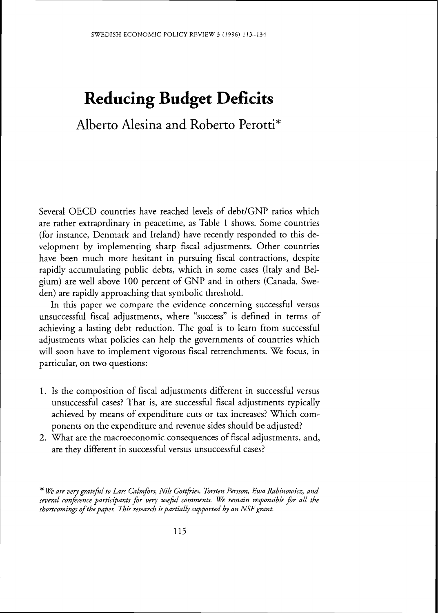# **Reducing Budget Deficits**

## Alberto Alesina and Roberto Perotti\*

Several OECD countries have reached levels of debt/GNP ratios which are rather extraordinary in peacetime, as Table 1 shows. Some countries (for instance, Denmark and Ireland) have recently responded to this development by implementing sharp fiscal adjustments. Other countries have been much more hesitant in pursuing fiscal contractions, despite rapidly accumulating public debts, which in some cases (Italy and Belgium) are well above 100 percent of GNP and in others (Canada, Sweden) are rapidly approaching that symbolic threshold.

In this paper we compare the evidence concerning successful versus unsuccessful fiscal adjustments, where "success" is defined in terms of achieving a lasting debt reduction. The goal is to learn from successful adjustments what policies can help the governments of countries which will soon have to implement vigorous fiscal retrenchments. We focus, in particular, on two questions:

- 1. Is the composition of fiscal adjustments different in successful versus unsuccessful cases? That is, are successful fiscal adjustments typically achieved by means of expenditure cuts or tax increases? Which components on the expenditure and revenue sides should be adjusted?
- 2. What are the macroeconomic consequences of fiscal adjustments, and, are they different in successful versus unsuccessful cases?

*\*We are very grateful to Lars Calmfors, Nils Gottfries, Torsten Persson, Ewa Rabinowicz, and several conference participants for very usefil comments. We remain responsible for all the*  shortcomings of the paper. This research is partially supported by an NSF grant.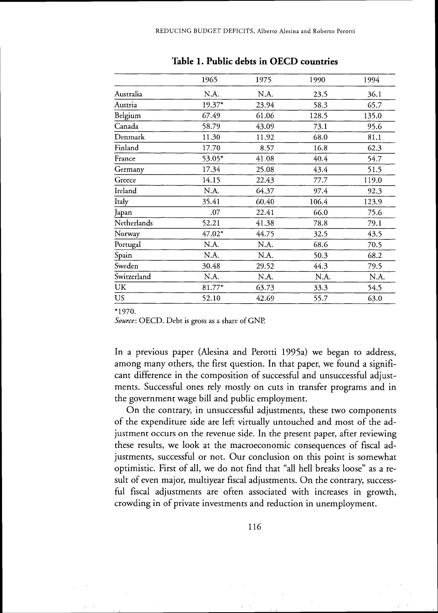|             | 1965   | 1975  | 1990  | 1994  |
|-------------|--------|-------|-------|-------|
| Australia   | N.A.   | N.A.  | 23.5  | 36.1  |
| Austria     | 19.37* | 23.94 | 58.3  | 65.7  |
| Belgium     | 67.49  | 61.06 | 128.5 | 135.0 |
| Canada      | 58.79  | 43.09 | 73.1  | 95.6  |
| Denmark     | 11.30  | 11.92 | 68.0  | 81.1  |
| Finland     | 17.70  | 8.57  | 16.8  | 62.3  |
| France      | 53.05* | 41.08 | 40.4  | 54.7  |
| Germany     | 17.34  | 25.08 | 43.4  | 51.5  |
| Greece      | 14.15  | 22.43 | 77.7  | 119.0 |
| Ireland     | N.A.   | 64.37 | 97.4  | 92.3  |
| Italy       | 35.41  | 60.40 | 106.4 | 123.9 |
| Japan       | .07    | 22.41 | 66.0  | 75.6  |
| Netherlands | 52.21  | 41.38 | 78.8  | 79.1  |
| Norway      | 47.02* | 44.75 | 32.5  | 43.5  |
| Portugal    | N.A.   | N.A.  | 68.6  | 70.5  |
| Spain       | N.A.   | N.A.  | 50.3  | 68.2  |
| Sweden      | 30.48  | 29.52 | 44.3  | 79.5  |
| Switzerland | N.A.   | N.A.  | N.A.  | N.A.  |
| UK          | 81.77* | 63.73 | 33.3  | 54.5  |
| <b>US</b>   | 52.10  | 42.69 | 55.7  | 63.0  |
|             |        |       |       |       |

**Table 1. Public debts in OECD countries** 

*\*1970.* 

Source: OECD. Debt is gross as a share of GNP.

In a previous paper (Alesina and Perotti 1995a) we began to address, among many others, the first question. In that paper, we found a significant difference in the composition of successful and unsuccessful adjustments. Successful ones rely mostly on cuts in transfer programs and in the government wage bill and public employment.

On the contrary, in unsuccessful adjustments, these two components of the expenditure side are left virtually untouched and most of the adjustment occurs on the revenue side. In the present paper, after reviewing these results, we look at the macroeconomic consequences of fiscal adjustments, successful or not. Our conclusion on this point is somewhat optimistic. First of all, we do not find that "all hell breaks loose" as a result of even major, multiyear fiscal adjustments. On the contrary, successful fiscal adjustments are often associated with increases in growth, crowding in of private investments and reduction in unemployment.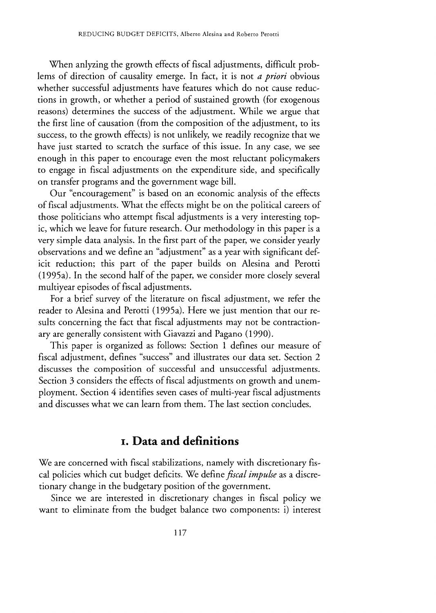When anlyzing the growth effects of fiscal adjustments, difficult problems of direction of causality emerge. In fact, it is not a priori obvious whether successful adjustments have features which do not cause reductions in growth, or whether a period of sustained growth (for exogenous reasons) determines the success of the adjustment. While we argue that the first line of causation (from the composition of the adjustment, to its success, to the growth effects) is not unlikely, we readily recognize that we have just started to scratch the surface of this issue. In any case, we see enough in this paper to encourage even the most reluctant policymakers to engage in fiscal adjustments on the expenditure side, and specifically on transfer programs and the government wage bill.

Our "encouragement" is based on an economic analysis of the effects of fiscal adjustments. What the effects might be on the political careers of those politicians who attempt fiscal adjustments is a very interesting topic, which we leave for future research. Our methodology in this paper is a very simple data analysis. In the first part of the paper, we consider yearly observations and we define an "adjustment" as a year with significant deficit reduction; this part of the paper builds on Alesina and Perotti (1995a). In the second half of the paper, we consider more closely several multiyear episodes of fiscal adjustments.

For a brief survey of the literature on fiscal adjustment, we refer the reader to Alesina and Perotti (1995a). Here we just mention that our results concerning the fact that fiscal adjustments may not be contractionary are generally consistent with Giavazzi and Pagano (1990).

This paper is organized as follows: Section 1 defines our measure of fiscal adjustment, defines "success" and illustrates our data set. Section 2 discusses the composition of successful and unsuccessful adjustments. Section 3 considers the effects of fiscal adjustments on growth and unemployment. Section 4 identifies seven cases of multi-year fiscal adjustments and discusses what we can learn from them. The last section concludes.

### **I. Data md definitions**

We are concerned with fiscal stabilizations, namely with discretionary fiscal policies which cut budget deficits. We define *fiscal impulse* as a discretionary change in the budgetary position of the government.

Since we are interested in discretionary changes in fiscal policy we want to eliminate from the budget balance two components: i) interest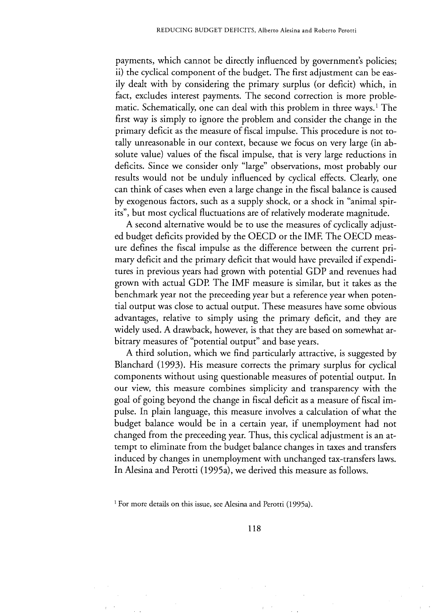payments, which cannot be directly influenced by government's policies; ii) the cyclical component of the budget. The first adjustment can be easily dealt with by considering the primary surplus (or deficit) which, in fact, excludes interest payments. The second correction is more problematic. Schematically, one can deal with this problem in three ways.<sup>1</sup> The first way is simply to ignore the problem and consider the change in the primary deficit as the measure of fiscal impulse. This procedure is not totally unreasonable in our context, because we focus on very large (in absolute value) values of the fiscal impulse, that is very large reductions in deficits. Since we consider only "large" observations, most probably our results would not be unduly influenced by cyclical effects. Clearly, one can think of cases when even a large change in the fiscal balance is caused by exogenous factors, such as a supply shock, or a shock in "animal spirits", but most cyclical fluctuations are of relatively moderate magnitude.

A second alternative would be to use the measures of cyclically adjusted budget deficits provided by the OECD or the IMF. The OECD measure defines the fiscal impulse as the difference between the current primary deficit and the primary deficit that would have prevailed if expenditures in previous years had grown with potential GDP and revenues had grown with actual GDP. The IMF measure is similar, but it takes as the benchmark year not the preceeding year but a reference year when potential output was close to actual output. These measures have some obvious advantages, relative to simply using the primary deficit, and they are widely used. A drawback, however, is that they are based on somewhat arbitrary measures of "potential output" and base years.

A third solution, which we find particularly attractive, is suggested by Blanchard (1993). His measure corrects the primary surplus for cyclical components without using questionable measures of potential output. In our view, this measure combines simplicity and transparency with the goal of going beyond the change in fiscal deficit as a measure of fiscal impulse. In plain language, this measure involves a calculation of what the budget balance would be in a certain year, if unemployment had not changed from the preceeding year. Thus, this cyclical adjustment is an attempt to eliminate from the budget balance changes in taxes and transfers induced by changes in unemployment with unchanged tax-transfers laws. In Alesina and Perotti (1995a), we derived this measure as follows.

<sup>&</sup>lt;sup>1</sup> For more details on this issue, see Alesina and Perotti (1995a).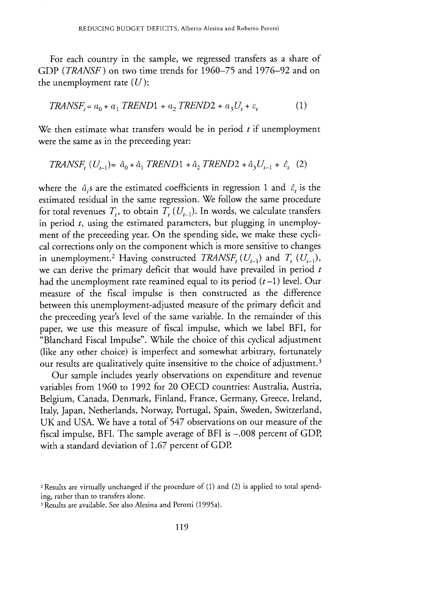For each country in the sample, we regressed transfers as a share of GDP (TRANSF) on two time trends for 1960-75 and 1976-92 and on the unemployment rate  $(U)$ :

$$
TRANSF_t = a_0 + a_1 \text{ }TREND1 + a_2 \text{ }TREND2 + a_3U_t + \varepsilon_t \tag{1}
$$

We then estimate what transfers would be in period  $t$  if unemployment were the same as in the preceeding year:

$$
TRANSF_t (U_{t-1}) = \hat{a}_0 + \hat{a}_1 \, TREND1 + \hat{a}_2 \, TREND2 + \hat{a}_3 U_{t-1} + \hat{\varepsilon}_t \quad (2)
$$

where the  $\hat{a}_i$ s are the estimated coefficients in regression 1 and  $\hat{\varepsilon}_t$  is the estimated residual in the same regression. We follow the same procedure for total revenues T,, to obtain  $T_t$  ( $U_{t-1}$ ). In words, we calculate transfers in period  $t$ , using the estimated parameters, but plugging in unemployment of the preceeding year. On the spending side, we make these cyclical corrections only on the component which is more sensitive to changes in unemployment.<sup>2</sup> Having constructed *TRANSF*,  $(U_{t-1})$  and  $T_t$ ,  $(U_{t-1})$ , we can derive the primary deficit that would have prevailed in period *t*  had the unemployment rate reamined equal to its period  $(t-1)$  level. Our measure of the fiscal impulse is then constructed as the difference between this unemployment-adjusted measure of the primary deficit and the preceeding year's level of the same variable. In the remainder of this paper, we use this measure of fiscal impulse, which we label BFI, for "Blanchard Fiscal Impulse". While the choice of this cyclical adjustment (like any other choice) is imperfect and somewhat arbitrary, fortunately our results are qualitatively quite insensitive to the choice of adjustment.<sup>3</sup>

Our sample includes yearly observations on expenditure and revenue variables from 1960 to 1992 for 20 OECD countries: Australia, Austria, Belgium, Canada, Denmark, Finland, France, Germany, Greece, Ireland, Italy, Japan, Netherlands, Norway, Portugal, Spain, Sweden, Switzerland, UK and USA. We have a total of 547 observations on our measure of the fiscal impulse, BFI. The sample average of BFI is  $-.008$  percent of GDP, with a standard deviation of 1.67 percent of GDP.

<sup>&</sup>lt;sup>2</sup> Results are virtually unchanged if the procedure of  $(1)$  and  $(2)$  is applied to total spending, rather than to transfers alone.

Results are available. See also Alesina and Perotti (1995a).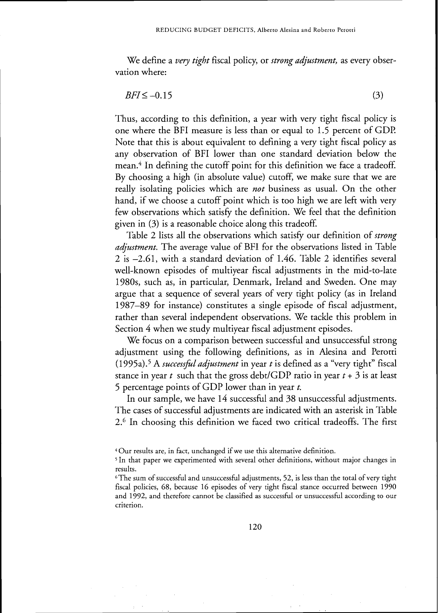We define a *very tight* fiscal policy, or *strong adjustment,* as every observation where:

$$
BFI \le -0.15 \tag{3}
$$

Thus, according to this definition, a year with very tight fiscal policy is one where the BFI measure is less than or equal to 1.5 percent of GDI? Note that this is about equivalent to defining a very tight fiscal policy as any observation of BFI lower than one standard deviation below the mean.<sup>4</sup> In defining the cutoff point for this definition we face a tradeoff. By choosing a high (in absolute value) cutoff, we make sure that we are really isolating policies which are *not* business as usual. On the other hand, if we choose a cutoff point which is too high we are left with very few observations which satisfy the definition. We feel that the definition given in (3) is a reasonable choice along this tradeoff.

Table 2 lists all the observations which satisfy our definition of *strong adjustment*. The average value of BFI for the observations listed in Table 2 is -2.61, with a standard deviation of 1.46. Table 2 identifies several well-known episodes of multiyear fiscal adjustments in the mid-to-late 1980s, such as, in particular, Denmark, Ireland and Sweden. One may argue that a sequence of several years of very tight policy (as in Ireland 1987-89 for instance) constitutes a single episode of fiscal adjustment, rather than several independent observations. We tackle this problem in Section 4 when we study multiyear fiscal adjustment episodes.

We focus on a comparison between successful and unsuccessful strong adjustment using the following definitions, as in Alesina and Perotti (1995a).<sup>5</sup> A *successful adjustment* in year *t* is defined as a "very tight" fiscal stance in year  $t$  such that the gross debt/GDP ratio in year  $t + 3$  is at least 5 percentage points of GDP lower than in year *t.* 

In our sample, we have 14 successful and 38 unsuccessful adjustments. The cases of successful adjustments are indicated with an asterisk in Table 2.6 In choosing this definition we faced two critical tradeoffs. The first

<sup>\*</sup>Our results are, in fact, unchanged if we use this alternative definition.

**<sup>5</sup>**In that paper we experimented with several other definitions, without major changes in results.

<sup>6</sup>The sum of successful and unsuccessful adjustments, 52, is less than the total of very tight fiscal policies, 68, because 16 episodes of very tight fiscal stance occurred between 1990 and 1992, and therefore cannot be classified as successful or unsuccessful according to our criterion.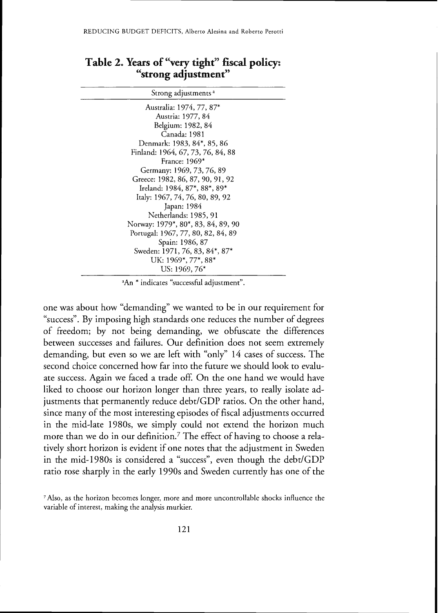| Table 2. Years of "very tight" fiscal policy: |  |                     |  |
|-----------------------------------------------|--|---------------------|--|
|                                               |  | "strong adjustment" |  |

| Strong adjustments <sup>a</sup>    |
|------------------------------------|
| Australia: 1974, 77, 87*           |
| Austria: 1977, 84                  |
| Belgium: 1982, 84                  |
| Canada: 1981                       |
| Denmark: 1983, 84*, 85, 86         |
| Finland: 1964, 67, 73, 76, 84, 88  |
| France: 1969*                      |
| Germany: 1969, 73, 76, 89          |
| Greece: 1982, 86, 87, 90, 91, 92   |
| Ireland: 1984, 87*, 88*, 89*       |
| Italy: 1967, 74, 76, 80, 89, 92    |
| Japan: 1984                        |
| Netherlands: 1985, 91              |
| Norway: 1979*, 80*, 83, 84, 89, 90 |
| Portugal: 1967, 77, 80, 82, 84, 89 |
| Spain: 1986, 87                    |
| Sweden: 1971, 76, 83, 84*, 87*     |
| UK: 1969*, 77*, 88*                |
| US: 1969. 76*                      |

<sup>a</sup>An \* indicates "successful adjustment".

one was about how "demanding" we wanted to be in our requirement for "success". By imposing high standards one reduces the number of degrees of freedom; by not being demanding, we obfuscate the differences between successes and failures. Our definition does not seem extremely demanding, but even so we are left with "only" 14 cases of success. The second choice concerned how far into the future we should look to evaluate success. Again we faced a trade off. On the one hand we would have liked to choose our horizon longer than three years, to really isolate adjustments that permanently reduce debt/GDP ratios. On the other hand, since many of the most interesting episodes of fiscal adjustments occurred in the mid-late 1980s, we simply could not extend the horizon much more than we do in our definition.7 The effect of having to choose a relatively short horizon is evident if one notes that the adjustment in Sweden in the mid-1980s is considered a "success", even though the debt/GDP ratio rose sharply in the early 1990s and Sweden currently has one of the

Also, as the horizon becomes longer, more and more uncontrollable shocks influence the variable of interest, making the analysis murkier.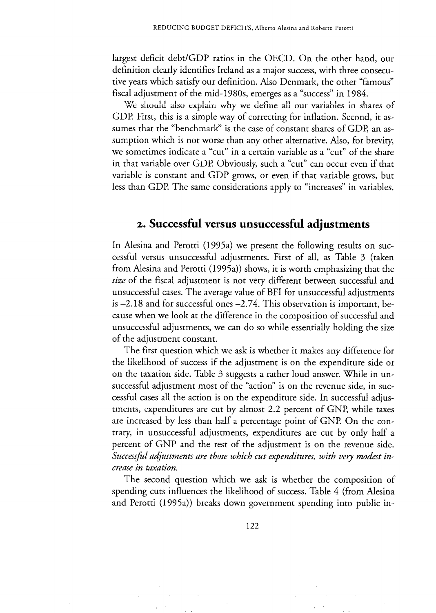largest deficit debt/GDP ratios in the OECD. On the other hand, our definition clearly identifies Ireland as a major success, with three consecutive years which satisfy our definition. Also Denmark, the other "famous" fiscal adjustment of the mid-1980s, emerges as a "success" in 1984.

We should also explain why we define all our variables in shares of GDE First, this is a simple way of correcting for inflation. Second, it assumes that the "benchmark" is the case of constant shares of GDP, an assumption which is not worse than any other alternative. Also, for brevity, we sometimes indicate a "cut" in a certain variable as a "cut" of the share in that variable over GDP. Obviously, such a "cut" can occur even if that variable is constant and GDP grows, or even if that variable grows, but less than GDP. The same considerations apply to "increases" in variables.

### **2. Successful versus unsuccessful adjustments**

In Alesina and Perotti (1995a) we present the following results on successful versus unsuccessful adjustments. First of all, as Table 3 (taken from Alesina and Perotti (1995a)) shows, it is worth emphasizing that the *size* of the fiscal adjustment is not very different between successful and unsuccessful cases. The average value of BFI for unsuccessful adjustments is -2.18 and for successful ones -2.74. This observation is important, because when we look at the difference in the composition of successful and unsuccessful adjustments, we can do so while essentially holding the size of the adjustment constant.

The first question which we ask is whether it makes any difference for the likelihood of success if the adjustment is on the expenditure side or on the taxation side. Table 3 suggests a rather loud answer. While in unsuccessful adjustment most of the "action" is on the revenue side, in successful cases all the action is on the expenditure side. In successful adjustments, expenditures are cut by almost 2.2 percent of GNP, while taxes are increased by less than half a percentage point of GNP. On the contrary, in unsuccessful adjustments, expenditures are cut by only half a percent of GNP and the rest of the adjustment is on the revenue side. Successful adjustments are those which cut expenditures, with very modest in*crease in taxation.* 

The second question which we ask is whether the composition of spending cuts influences the likelihood of success. Table 4 (from Alesina and Perotti (1995a)) breaks down government spending into public in-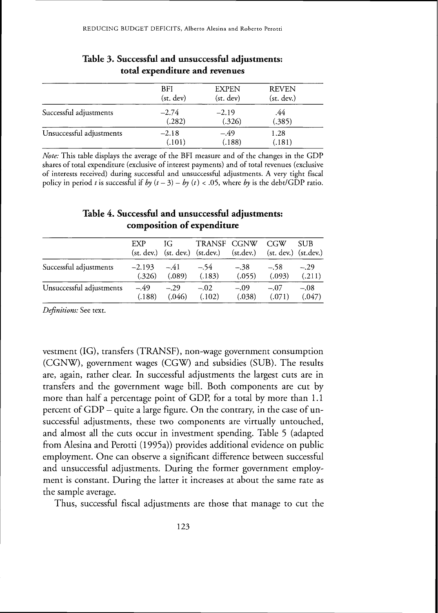|                          | <b>BFI</b> | <b>EXPEN</b> | <b>REVEN</b> |
|--------------------------|------------|--------------|--------------|
|                          | (st. dev)  | (st. dev)    | (st. dev.)   |
| Successful adjustments   | $-2.74$    | $-2.19$      | .44          |
|                          | (.282)     | (.326)       | (.385)       |
| Unsuccessful adjustments | $-2.18$    | $-.49$       | 1.28         |
|                          | (.101)     | (.188)       | (.181)       |

### **Table 3. Successful and unsuccessful adjustments: total expenditure and revenues**

Note: This table displays the average of the BFI measure and of the changes in the GDP shares of total expenditure (exclusive of interest payments) and of total revenues (exclusive of interests received) during successful and unsuccessful adjustments. A very tight fiscal policy in period *t* is successful if by  $(t - 3) - by (t) < .05$ , where by is the debt/GDP ratio.

### **Table 4. Successful and unsuccessful adjustments: composition of expenditure**

|                          | EXP      | IG     | TRANSF CGNW<br>$(st, dev)$ $(st, dev)$ $(st, dev)$ $(st, dev)$ $(st, dev)$ |        | CGW<br>$(st. dev.)$ $(st. dev.)$ | <b>SUB</b> |
|--------------------------|----------|--------|----------------------------------------------------------------------------|--------|----------------------------------|------------|
| Successful adjustments   | $-2.193$ | $-.41$ | $-.54$                                                                     | $-.38$ | $-.58$                           | $-.29$     |
|                          | (.326)   | (.089) | (.183)                                                                     | (.055) | (.093)                           | (.211)     |
| Unsuccessful adjustments | $-.49$   | $-.29$ | $-.02$                                                                     | $-.09$ | $-.07$                           | $-.08$     |
|                          | (.188)   | (.046) | (.102)                                                                     | (.038) | (.071)                           | (.047)     |

Definitions: See text.

vestment (IG), transfers (TRANSF), non-wage government consumption (CGNW), government wages (CGW) and subsidies (SUB). The results are, again, rather clear. In successful adjustments the largest cuts are in transfers and the government wage bill. Both components are cut by more than half a percentage point of GDP, for a total by more than 1.1 percent of GDP - quite a large figure. On the contrary, in the case of unsuccessful adjustments, these two components are virtually untouched, and almost all the cuts occur in investment spending. Table 5 (adapted from Alesina and Perotti (1995a)) provides additional evidence on public employment. One can observe a significant difference between successful and unsuccessful adjustments. During the former government employment is constant. During the latter it increases at about the same rate as the sample average.

Thus, successful fiscal adjustments are those that manage to cut the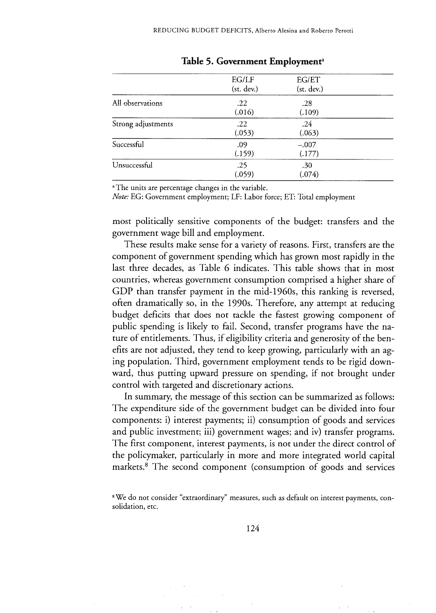|                    | EG/LF<br>(st. dev.) | EG/ET<br>(st. dev.) |  |
|--------------------|---------------------|---------------------|--|
| All observations   | .22<br>(.016)       | .28<br>(.109)       |  |
| Strong adjustments | .22<br>(.053)       | .24<br>(.063)       |  |
| Successful         | .09<br>(.159)       | $-.007$<br>(.177)   |  |
| Unsuccessful       | .25<br>(.059)       | .30<br>(.074)       |  |

|  |  |  | Table 5. Government Employmentª |  |  |
|--|--|--|---------------------------------|--|--|
|--|--|--|---------------------------------|--|--|

**<sup>a</sup>**The units are percentage changes in the variable.

Note: EG: Government employment; LF: Labor force; ET: Total employment

most politically sensitive components of the budget: transfers and the government wage bill and employment.

These results make sense for a variety of reasons. First, transfers are the component of government spending which has grown most rapidly in the last three decades, as Table 6 indicates. This table shows that in most countries, whereas government consumption comprised a higher share of GDP than transfer payment in the mid-1960s, this ranking is reversed, often dramatically so, in the 1990s. Therefore, any attempt at reducing budget deficits that does not tackle the fastest growing component of public spending is likely to fail. Second, transfer programs have the nature of entitlements. Thus, if eligibility criteria and generosity of the benefits are not adjusted, they tend to keep growing, particularly with an aging population. Third, government employment tends to be rigid downward, thus putting upward pressure on spending, if not brought under control with targeted and discretionary actions.

In summary, the message of this section can be summarized as follows: The expenditure side of the government budget can be divided into four components: i) interest payments; ii) consumption of goods and services and public investment; iii) government wages; and iv) transfer programs. The first component, interest payments, is not under the direct control of the policymaker, particularly in more and more integrated world capital markets.<sup>8</sup> The second component (consumption of goods and services

We do not consider "extraordinary" measures, such as default on interest payments, consolidation. etc.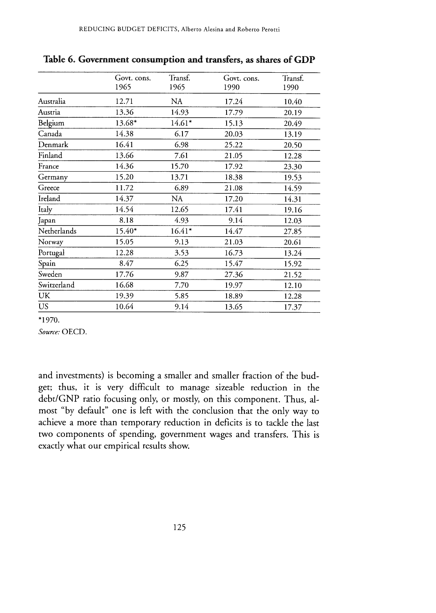|             | Govt. cons.<br>1965 | Transf.<br>1965 | Govt. cons.<br>1990 | Transf.<br>1990 |
|-------------|---------------------|-----------------|---------------------|-----------------|
| Australia   | 12.71               | NA              | 17.24               | 10.40           |
| Austria     | 13.36               | 14.93           | 17.79               | 20.19           |
| Belgium     | 13.68*              | $14.61*$        | 15.13               | 20.49           |
| Canada      | 14.38               | 6.17            | 20.03               | 13.19           |
| Denmark     | 16.41               | 6.98            | 25.22               | 20.50           |
| Finland     | 13.66               | 7.61            | 21.05               | 12.28           |
| France      | 14.36               | 15.70           | 17.92               | 23.30           |
| Germany     | 15.20               | 13.71           | 18.38               | 19.53           |
| Greece      | 11.72               | 6.89            | 21.08               | 14.59           |
| Ireland     | 14.37               | NA              | 17.20               | 14.31           |
| Italy       | 14.54               | 12.65           | 17.41               | 19.16           |
| Japan       | 8.18                | 4.93            | 9.14                | 12.03           |
| Netherlands | 15.40*              | $16.41*$        | 14.47               | 27.85           |
| Norway      | 15.05               | 9.13            | 21.03               | 20.61           |
| Portugal    | 12.28               | 3.53            | 16.73               | 13.24           |
| Spain       | 8.47                | 6.25            | 15.47               | 15.92           |
| Sweden      | 17.76               | 9.87            | 27.36               | 21.52           |
| Switzerland | 16.68               | 7.70            | 19.97               | 12.10           |
| UK          | 19.39               | 5.85            | 18.89               | 12.28           |
| <b>US</b>   | 10.64               | 9.14            | 13.65               | 17.37           |

**Table 6. Government consumption and rrmsfers, as shares of GDP** 

\*1970.

*Source:* OECD.

and investments) is becoming a smaller and smaller fraction of the budget; thus, it is very difficult to manage sizeable reduction in the debt/GNP ratio focusing only, or mostly, on this component. Thus, almost "by default" one is left with the conclusion that the only way to achieve a more than temporary reduction in deficits is to tackle the last two components of spending, government wages and transfers. This is exactly what our empirical results show.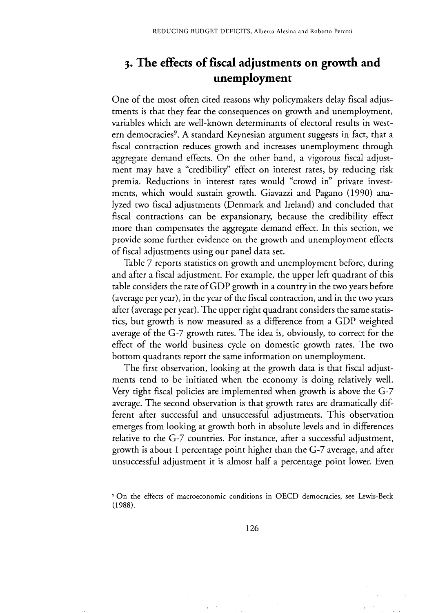### **3. The effects of fiscal adjustments on growth and unemployment**

One of the most often cited reasons why policymakers delay fiscal adjustments is that they fear the consequences on growth and unemployment, variables which are well-known determinants of electoral results in western democracies'. A standard Keynesian argument suggests in fact, that a fiscal contraction reduces growth and increases unemployment through aggregate demand effects. On the other hand, a vigorous fiscal adjustment may have a "credibility" effect on interest rates, by reducing risk premia. Reductions in interest rates would "crowd in" private investments, which would sustain growth. Giavazzi and Pagano (1990) analyzed two fiscal adjustments (Denmark and Ireland) and concluded that fiscal contractions can be expansionary, because the credibility effect more than compensates the aggregate demand effect. In this section, we provide some further evidence on the growth and unemployment effects of fiscal adjustments using our panei data set.

Table 7 reports statistics on growth and unemployment before, during and after a fiscal adjustment. For example, the upper left quadrant of this table considers the rate of GDP growth in a country in the two years before (average per year), in the year of the fiscal contraction, and in the two years after (average per year). The upper right quadrant considers the same statistics, but growth is now measured as a difference from a GDP weighted average of the G-7 growth rates. The idea is, obviously, to correct for the effect of the world business cycle on domestic growth rates. The two bottom quadrants report the same information on unemployment.

The first observation, looking at the growth data is that fiscal adjustments tend to be initiated when the economy is doing relatively well. Very tight fiscal policies are implemented when growth is above the G-7 average. The second observation is that growth rates are dramatically different after successful and unsuccessful adjustments. This observation emerges from looking at growth both in absolute levels and in differences relative to the G-7 countries. For instance, after a successful adjustment, growth is about 1 percentage point higher than the G-7 average, and after unsuccessful adjustment it is almost half a percentage point lower. Even

<sup>&</sup>lt;sup>9</sup> On the effects of macroeconomic conditions in OECD democracies, see Lewis-Beck (1988).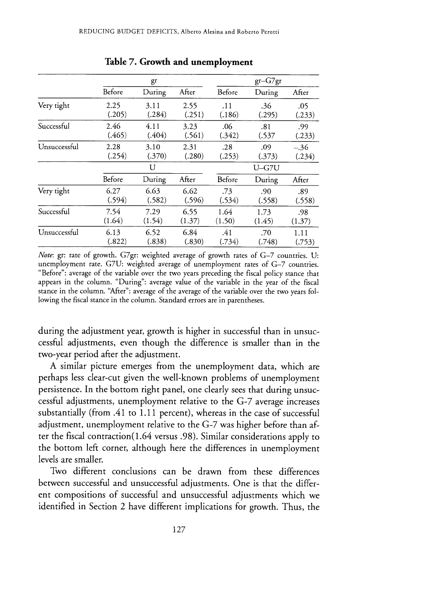|              |        | gr     |        |        | $gr-G7gr$ |        |
|--------------|--------|--------|--------|--------|-----------|--------|
|              | Before | During | After  | Before | During    | After  |
| Very tight   | 2.25   | 3.11   | 2.55   | .11    | .36       | .05    |
|              | (.205) | (.284) | (.251) | (.186) | (.295)    | (.233) |
| Successful   | 2.46   | 4.11   | 3.23   | .06    | .81       | .99    |
|              | (.465) | (.404) | (.561) | (.342) | (.537     | (.233) |
| Unsuccessful | 2.28   | 3.10   | 2.31   | .28    | .09       | $-.36$ |
|              | (.254) | (.370) | (.280) | (.253) | (.373)    | (.234) |
|              |        | U      |        |        | U-G7U     |        |
|              | Before | During | After  | Before | During    | After  |
| Very tight   | 6.27   | 6.63   | 6.62   | .73    | .90       | .89    |
|              | (.594) | (.582) | (.596) | (.534) | (.558)    | (.558) |
| Successful   | 7.54   | 7.29   | 6.55   | 1.64   | 1.73      | .98    |
|              | (1.64) | (1.54) | (1.37) | (1.50) | (1.45)    | (1.37) |
| Unsuccessful | 6.13   | 6.52   | 6.84   | .41    | .70       | 1.11   |
|              | (.822) | (.838) | (.830) | (.734) | (.748)    | (.753) |

**Table 7. Growth and unemployment** 

Note: gr: rate of growth. G7gr: weighted average of growth rates of *G-7* countries. U: unemployment rate. G7U: weighted average of unemployment rates of *G-7* countries. "Before": average of the variable over the two years preceding the fiscal policy stance that appears in the column. "During": average value of the variable in the year of the fiscal stance in the column. "After": average of the average of the variable over the two years following the fiscal stance in the column. Standard errors are in parentheses.

during the adjustment year, growth is higher in successful than in unsuccessful adjustments, even though the difference is smaller than in the two-year period after the adjustment.

A similar picture emerges from the unemployment data, which are perhaps less clear-cut given the well-known problems of unemployment persistence. In the bottom right panel, one clearly sees that during unsuccessful adjustments, unemployment relative to the G-7 average increases substantially (from .41 to 1.1 1 percent), whereas in the case of successful adjustment, unemployment relative to the G-7 was higher before than after the fiscal contraction(l.64 versus .98). Similar considerations apply to the bottom left corner, although here the differences in unemployment levels are smaller.

Two different conclusions can be drawn from these differences between successful and unsuccessful adjustments. One is that the different compositions of successful and unsuccessful adjustments which we identified in Section 2 have different implications for growth. Thus, the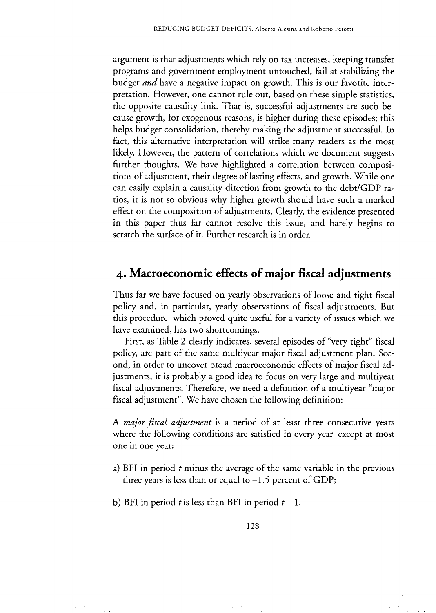argument is that adjustments which rely on tax increases, keeping transfer programs and government employment untouched, fail at stabilizing the budget *and* have a negative impact on growth. This is our favorite interpretation. However, one cannot rule out, based on these simple statistics, the opposite causality iink. Tnat is, successful adjustments are such because growth, for exogenous reasons, is higher during these episodes; this helps budget consolidation, thereby making the adjustment successful. In fact, this alternative interpretation will strike many readers as the most likely. However, the pattern of correlations which we document suggests further thoughts. We have highlighted a correlation between compositions of adjustment, their degree of lasting effects, and growth. While one can easily explain a causality direction from growth to the debt/GDP ratios, it is not so obvious why higher growth should have such a marked effect on the composition of adjustments. Clearly, the evidence presented in this paper thus far cannot resolve this issue, and barely begins to scratch the surface of it. Further research is in order.

### **4. Macroeconomic effects of major fiscal adjustments**

Thus far we have focused on yearly observations of loose and tight fiscal policy and, in particular, yearly observations of fiscal adjustments. But this procedure, which proved quite useful for a variety of issues which we have examined, has two shortcomings.

First, as Table 2 clearly indicates, several episodes of "very tight" fiscal policy, are part of the same multiyear major fiscal adjustment plan. Second, in order to uncover broad macroeconomic effects of major fiscal adjustments, it is probably a good idea to focus on very large and multiyear fiscal adjustments. Therefore, we need a definition of a multiyear "major fiscal adjustment". We have chosen the following definition:

*A major jscal adjustment* is a period of at least three consecutive years where the following conditions are satisfied in every year, except at most one in one year:

- a) BFI in period *t* minus the average of the same variable in the previous three years is less than or equal to  $-1.5$  percent of GDP;
- b) BFI in period *t* is less than BFI in period  $t 1$ .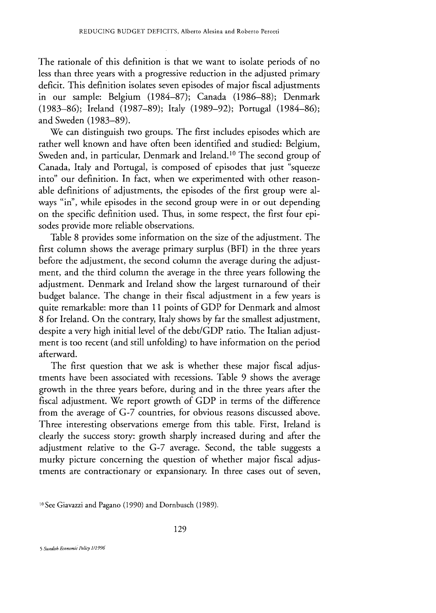The rationale of this definition is that we want to isolate periods of no less than three years with a progressive reduction in the adjusted primary deficit. This definition isolates seven episodes of major fiscal adjustments in our sample: Belgium (1984-87); Canada (1986-88); Denmark (1983-86); Ireland (1987-89); Italy (1989-92); Portugal (1984-86); and Sweden (1983-89).

We can distinguish two groups. The first includes episodes which are rather well known and have often been identified and studied: Belgium, Sweden and, in particular, Denmark and Ireland.<sup>10</sup> The second group of Canada, Italy and Portugal, is composed of episodes that just "squeeze into" our definition. In fact, when we experimented with other reasonable definitions of adjustments, the episodes of the first group were always "in", while episodes in the second group were in or out depending on the specific definition used. Thus, in some respect, the first four episodes provide more reliable observations.

Table 8 provides some information on the size of the adjustment. The first column shows the average primary surplus (BFI) in the three years before the adjustment, the second column the average during the adjustment, and the third column the average in the three years following the adjustment. Denmark and Ireland show the largest turnaround of their budget balance. The change in their fiscal adjustment in a few years is quite remarkable: more than 11 points of GDP for Denmark and almost 8 for Ireland. On the contrary, Italy shows by far the smallest adjustment, despite a very high initial level of the debt/GDP ratio. The Italian adjustment is too recent (and still unfolding) to have information on the period afterward.

The first question that we ask is whether these major fiscal adjustments have been associated with recessions. Table 9 shows the average growth in the three years before, during and in the three years after the fiscal adjustment. We report growth of GDP in terms of the difference from the average of G-7 countries, for obvious reasons discussed above. Three interesting observations emerge from this table. First, Ireland is clearly the success story: growth sharply increased during and after the adjustment relative to the G-7 average. Second, the table suggests a murky picture concerning the question of whether major fiscal adjustments are contractionary or expansionary. In three cases out of seven,

<sup>10</sup> See Giavazzi and Pagano (1990) and Dornbusch (1989).

**5 Suedrib** Economrc *Policy* 111 *996*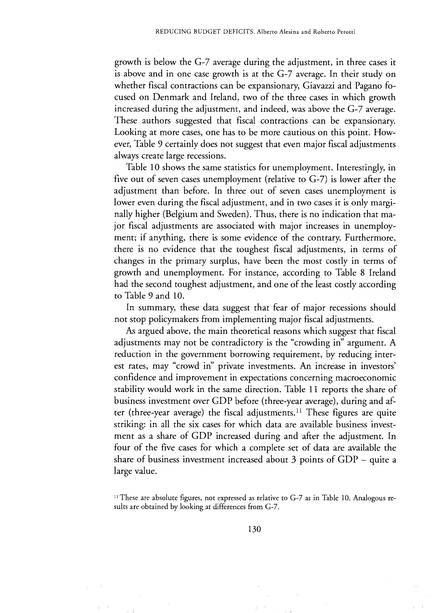growth is below the G-7 average during the adjustment, in three cases it is above and in one case growth is at the G-7 average. In their study on whether fiscal contractions can be expansionary, Ciavazzi and Pagano focused on Denmark and Ireland, two of the three cases in which growth increased during the adjustment, and indeed, was above the G-7 average. These authors suggested that fiscal contractions can be expansionary. Looking at more cases, one has to be more cautious on this point. However, Table 9 certainly does not suggest that even major fiscal adjustments always create large recessions.

Table 10 shows the same statistics for unemployment. Interestingly, in five out of seven cases unemployment (relative to G-7) is lower after the adjustment than before. In three out of seven cases unemployment is lower even during the fiscal adjustment, and in two cases it is only marginally higher (Belgium and Sweden). Thus, there is no indication that major fiscal adjustments are associated with major increases in unemployment; if anything, there is some evidence of the contrary. Furthermore, there is no evidence that the toughest fiscal adjustments, in terms of changes in the primary surplus, have been the most costly in terms of growth and unemployment. For instance, according to Table 8 Ireland had the second toughest adjustment, and one of the least costly according to Table 9 and 10.

In summary, these data suggest that fear of major recessions should not stop policymakers from implementing major fiscal adjustments.

As argued above, the main theoretical reasons which suggest that fiscal adjustments may not be contradictory is the "crowding in" argument. A reduction in the government borrowing requirement, by reducing interest rates, may "crowd in" private investments. An increase in investors' confidence and improvement in expectations concerning macroeconomic stability would work in the same direction. Table 11 reports the share of business investment over GDP before (three-year average), during and after (three-year average) the fiscal adjustments.<sup>11</sup> These figures are quite striking: in all the six cases for which data are available business investment as a share of GDP increased during and after the adjustment. In four of the five cases for which a complete set of data are available the share of business investment increased about **3** points of CDP - quite a large value.

These are absolute figures, not expressed as relative to *G-7* as in Table 10. Analogous results are obtained by looking at differences from G-7.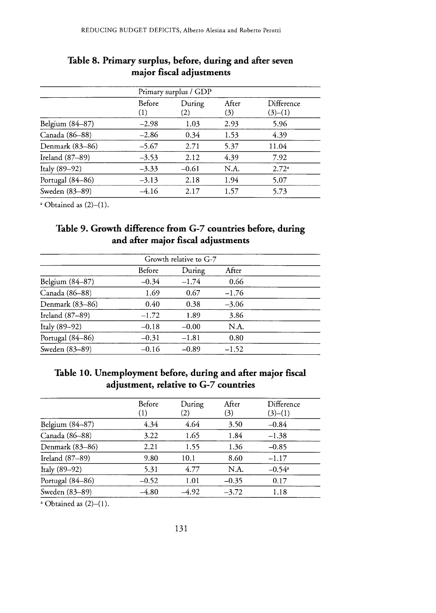|                  | Primary surplus / GDP |               |              |                       |
|------------------|-----------------------|---------------|--------------|-----------------------|
|                  | Before<br>(1)         | During<br>(2) | After<br>(3) | Difference<br>(3)–(1) |
| Belgium (84-87)  | $-2.98$               | 1.03          | 2.93         | 5.96                  |
| Canada (86–88)   | $-2.86$               | 0.34          | 1.53         | 4.39                  |
| Denmark (83–86)  | $-5.67$               | 2.71          | 5.37         | 11.04                 |
| Ireland (87-89)  | $-3.53$               | 2.12          | 4.39         | 7.92                  |
| Italy (89-92)    | $-3.33$               | $-0.61$       | N.A.         | 2.72 <sup>a</sup>     |
| Portugal (84-86) | $-3.13$               | 2.18          | 1.94         | 5.07                  |
|                  | -4.16                 | 2.17          | 1.57         | 5.73                  |
| Sweden (83-89)   |                       |               |              |                       |

### **Table 8. Primany surplus, before, during and after seven major fiscal adjustments**

<sup>a</sup> Obtained as (2)–(1).

### **Table 9. Gromh difference from G-7 countries before, during and after major fiscal adjustments**

| Growth relative to G-7 |         |         |         |  |  |  |
|------------------------|---------|---------|---------|--|--|--|
|                        | Before  | During  | After   |  |  |  |
| Belgium (84-87)        | $-0.34$ | $-1.74$ | 0.66    |  |  |  |
| Canada (86-88)         | 1.69    | 0.67    | $-1.76$ |  |  |  |
| Denmark (83–86)        | 0.40    | 0.38    | $-3.06$ |  |  |  |
| Ireland (87-89)        | $-1.72$ | 1.89    | 3.86    |  |  |  |
| Italy (89-92)          | $-0.18$ | $-0.00$ | N.A.    |  |  |  |
| Portugal (84-86)       | $-0.31$ | $-1.81$ | 0.80    |  |  |  |
| Sweden (83-89)         | $-0.16$ | $-0.89$ | $-1.52$ |  |  |  |
|                        |         |         |         |  |  |  |

### **Table 10. Unemployment before, during and after major fiscal adjustment, relative to 6-7 countries**

|                  | Before<br>(1) | During<br>(2) | After<br>(3) | Difference<br>$(3)-(1)$ |
|------------------|---------------|---------------|--------------|-------------------------|
| Belgium (84-87)  | 4.34          | 4.64          | 3.50         | $-0.84$                 |
| Canada (86-88)   | 3.22          | 1.65          | 1.84         | $-1.38$                 |
| Denmark (83–86)  | 2.21          | 1.55          | 1.36         | $-0.85$                 |
| Ireland (87-89)  | 9.80          | 10.1          | 8.60         | $-1.17$                 |
| Italy (89-92)    | 5.31          | 4.77          | N.A.         | $-0.54a$                |
| Portugal (84-86) | $-0.52$       | 1.01          | $-0.35$      | 0.17                    |
| Sweden (83-89)   | $-4.80$       | $-4.92$       | $-3.72$      | 1.18                    |
|                  |               |               |              |                         |

 $^a$  Obtained as  $(2)-(1)$ .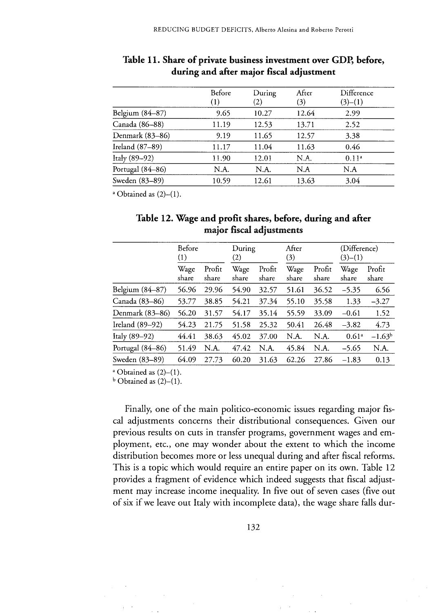|                  | Before<br>$\left(1\right)$ | During<br>(2) | After<br>(3) | Difference<br>$(3)-(1)$ |  |  |
|------------------|----------------------------|---------------|--------------|-------------------------|--|--|
| Belgium (84-87)  | 9.65                       | 10.27         | 12.64        | 2.99                    |  |  |
| Canada (86-88)   | 11.19                      | 12.53         | 13.71        | 2.52                    |  |  |
| Denmark (83-86)  | 9.19                       | 11.65         | 12.57        | 3.38                    |  |  |
| Ireland (87-89)  | 11.17                      | 11.04         | 11.63        | 0.46                    |  |  |
| Italy (89-92)    | 11.90                      | 12.01         | N.A.         | 0.11 <sup>a</sup>       |  |  |
| Portugal (84-86) | N.A.                       | N.A.          | N.A          | N.A                     |  |  |
| Sweden (83-89)   | 10.59                      | 12.61         | 13.63        | 3.04                    |  |  |

**Table 11. Share of private business investment over GDP, before, during and after major fiscal adjustment** 

<sup>a</sup> Obtained as (2)–(1).

#### **Table 12. Wage and profit shares, before, during and after major fiscal adjustments**

|                   | Before<br>(1) |                 | During<br>(2) |                 | After<br>(3)  |                 | (Difference)<br>$(3)-(1)$ |                 |
|-------------------|---------------|-----------------|---------------|-----------------|---------------|-----------------|---------------------------|-----------------|
|                   | Wage<br>share | Profit<br>share | Wage<br>share | Profit<br>share | Wage<br>share | Profit<br>share | Wage<br>share             | Profit<br>share |
| Belgium (84–87)   | 56.96         | 29.96           | 54.90         | 32.57           | 51.61         | 36.52           | $-5.35$                   | 6.56            |
| Canada (83-86)    | 53.77         | 38.85           | 54.21         | 37.34           | 55.10         | 35.58           | 1.33                      | $-3.27$         |
| Denmark (83–86)   | 56.20         | 31.57           | 54.17         | 35.14           | 55.59         | 33.09           | $-0.61$                   | 1.52            |
| Ireland $(89-92)$ | 54.23         | 21.75           | 51.58         | 25.32           | 50.41         | 26.48           | $-3.82$                   | 4.73            |
| Italy $(89 - 92)$ | 44.41         | 38.63           | 45.02         | 37.00           | N.A.          | N.A.            | 0.61 <sup>a</sup>         | $-1.63b$        |
| Portugal (84-86)  | 51.49         | N.A.            | 47.42         | N.A.            | 45.84         | N.A.            | $-5.65$                   | N.A.            |
| Sweden (83–89)    | 64.09         | 27.73           | 60.20         | 31.63           | 62.26         | 27.86           | $-1.83$                   | 0.13            |

 $a$  Obtained as  $(2)-(1)$ .

 $b$  Obtained as  $(2)-(1)$ .

Finally, one of the main politico-economic issues regarding major fiscal adjustments concerns their distributional consequences. Given our previous results on cuts in transfer programs, government wages and employment, etc., one may wonder about the extent to which the income distribution becomes more or less unequal during and after fiscal reforms. This is a topic which would require an entire paper on its own. Table 12 provides a fragment of evidence which indeed suggests that fiscal adjustment may increase income inequality. In five out of seven cases (five out of six if we leave out Italy with incomplete data), the wage share falls dur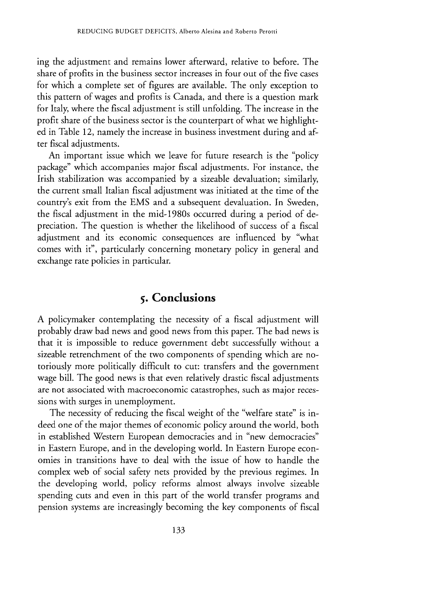ing the adjustment and remains lower afterward, relative to before. The share of profits in the business sector increases in four out of the five cases for which a complete set of figures are available. The only exception to this pattern of wages and profits is Canada, and there is a question mark for Italy, where the fiscal adjustment is still unfolding. The increase in the profit share of the business sector is the counterpart of what we highlighted in Table 12, namely the increase in business investment during and after fiscal adjustments.

An important issue which we leave for future research is the "policy package" which accompanies major fiscal adjustments. For instance, the Irish stabilization was accompanied by a sizeable devaluation; similarly, the current small Italian fiscal adjustment was initiated at the time of the country's exit from the EMS and a subsequent devaluation. In Sweden, the fiscal adjustment in the mid-1980s occurred during a period of depreciation. The question is whether the likelihood of success of a fiscal adjustment and its economic consequences are influenced by "what comes with it", particularly concerning monetary policy in general and exchange rate policies in particular.

### **5. Conclusions**

A policymaker contemplating the necessity of a fiscal adjustment will probably draw bad news and good news from this paper. The bad news is that it is impossible to reduce government debt successfully without a sizeable retrenchment of the two components of spending which are notoriously more politically difficult to cut: transfers and the government wage bill. The good news is that even relatively drastic fiscal adjustments are not associated with macroeconomic catastrophes, such as major recessions with surges in unemployment.

The necessity of reducing the fiscal weight of the "welfare state" is indeed one of the major themes of economic policy around the world, both in established Western European democracies and in "new democracies" in Eastern Europe, and in the developing world. In Eastern Europe economies in transitions have to deal with the issue of how to handle the complex web of social safety nets provided by the previous regimes. In the developing world, policy reforms almost always involve sizeable spending cuts and even in this part of the world transfer programs and pension systems are increasingly becoming the key components of fiscal